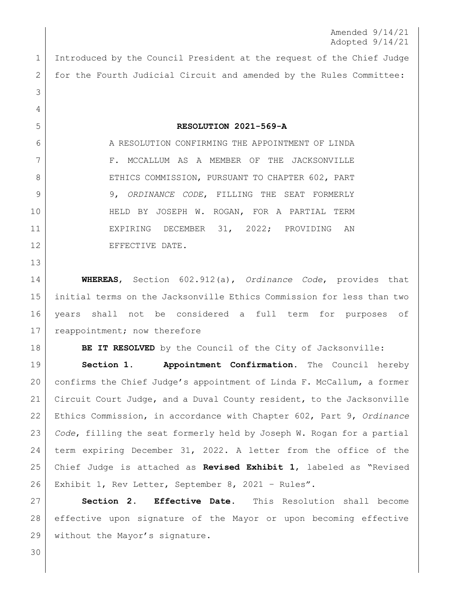Amended 9/14/21 Adopted 9/14/21

 Introduced by the Council President at the request of the Chief Judge 2 for the Fourth Judicial Circuit and amended by the Rules Committee:

6 A RESOLUTION CONFIRMING THE APPOINTMENT OF LINDA 7 F. MCCALLUM AS A MEMBER OF THE JACKSONVILLE 8 ETHICS COMMISSION, PURSUANT TO CHAPTER 602, PART 9, *ORDINANCE CODE*, FILLING THE SEAT FORMERLY 10 | THELD BY JOSEPH W. ROGAN, FOR A PARTIAL TERM EXPIRING DECEMBER 31, 2022; PROVIDING AN 12 EFFECTIVE DATE.

**RESOLUTION 2021-569-A**

 **WHEREAS**, Section 602.912(a), *Ordinance Code*, provides that initial terms on the Jacksonville Ethics Commission for less than two years shall not be considered a full term for purposes of 17 | reappointment; now therefore

**BE IT RESOLVED** by the Council of the City of Jacksonville:

 **Section 1. Appointment Confirmation.** The Council hereby confirms the Chief Judge's appointment of Linda F. McCallum, a former Circuit Court Judge, and a Duval County resident, to the Jacksonville Ethics Commission, in accordance with Chapter 602, Part 9, *Ordinance Code*, filling the seat formerly held by Joseph W. Rogan for a partial term expiring December 31, 2022. A letter from the office of the Chief Judge is attached as **Revised Exhibit 1**, labeled as "Revised Exhibit 1, Rev Letter, September 8, 2021 – Rules".

 **Section 2. Effective Date.** This Resolution shall become effective upon signature of the Mayor or upon becoming effective 29 without the Mayor's signature.